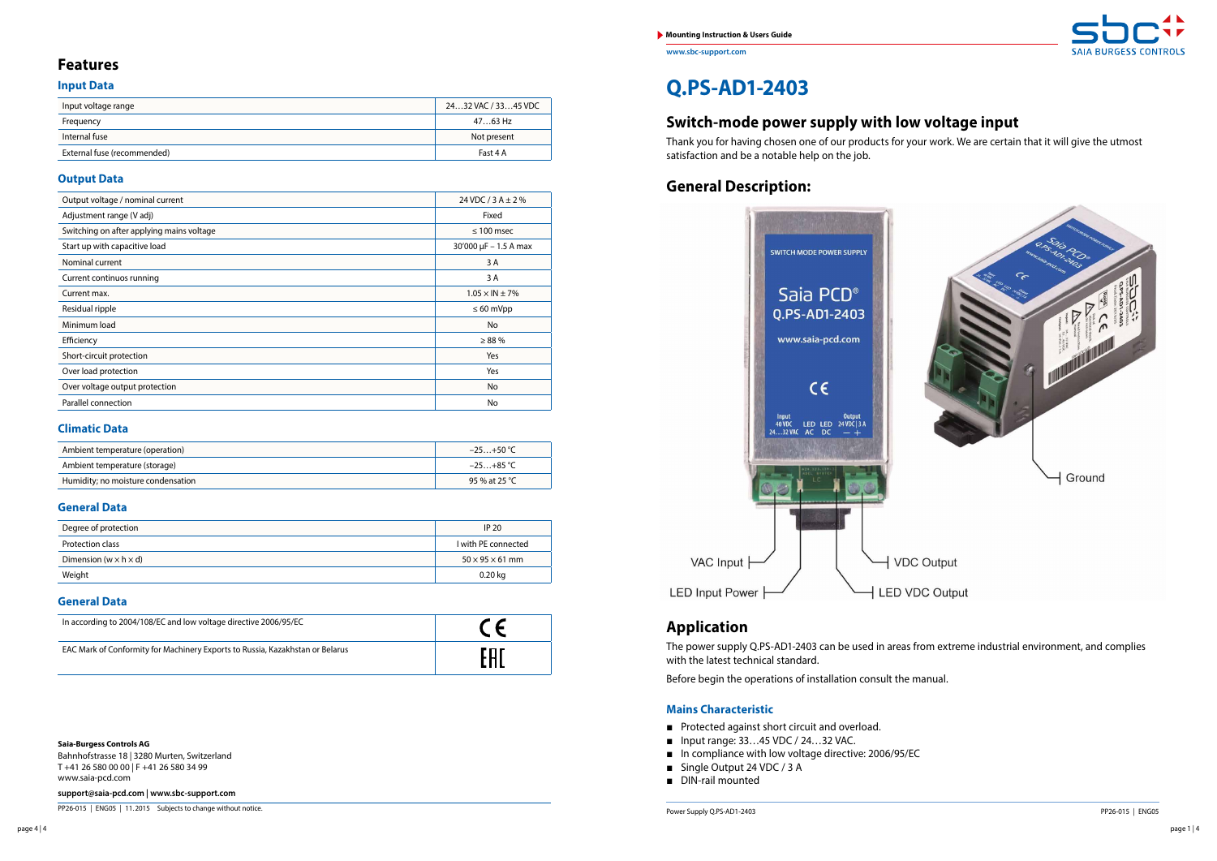**www.sbc-support.com**

**Saia-Burgess Controls AG**

Bahnhofstrasse 18 | 3280 Murten, Switzerland T +41 26 580 00 00 | F +41 26 580 34 99 www.saia-pcd.com

**support@saia-pcd.com | www.sbc-support.com**

PP26-015 | ENG05 | 11.2015 Subjects to change without notice. Present to change without notice. Present to change without notice.

# **Q.PS-AD1-2403**

## **Switch-mode power supply with low voltage input**

Thank you for having chosen one of our products for your work. We are certain that it will give the utmost satisfaction and be a notable help on the job.

## **Features**

## **Input Data**

| Input voltage range         | 2432 VAC / 3345 VDC |
|-----------------------------|---------------------|
| Frequency                   | 4763 Hz             |
| Internal fuse               | Not present         |
| External fuse (recommended) | Fast 4 A            |

### **Output Data**

| Output voltage / nominal current          | 24 VDC / 3 A $\pm$ 2 %                         |
|-------------------------------------------|------------------------------------------------|
| Adjustment range (V adj)                  | Fixed                                          |
| Switching on after applying mains voltage | $\leq 100$ msec                                |
| Start up with capacitive load             | $30'000 \,\mu F - 1.5 \,\text{A} \,\text{max}$ |
| Nominal current                           | 3 A                                            |
| Current continuos running                 | 3 A                                            |
| Current max.                              | $1.05 \times IN \pm 7\%$                       |
| Residual ripple                           | $\leq 60$ mVpp                                 |
| Minimum load                              | No                                             |
| Efficiency                                | $\geq 88\%$                                    |
| Short-circuit protection                  | Yes                                            |
| Over load protection                      | Yes                                            |
| Over voltage output protection            | No                                             |
| Parallel connection                       | No                                             |

### **Climatic Data**

| Ambient temperature (operation)    | $-25+50$ °C   |
|------------------------------------|---------------|
| Ambient temperature (storage)      | $-25+85$ °C   |
| Humidity; no moisture condensation | 95 % at 25 °C |

#### **General Data**

| Degree of protection                | IP <sub>20</sub>            |
|-------------------------------------|-----------------------------|
| Protection class                    | I with PE connected         |
| Dimension (w $\times$ h $\times$ d) | $50 \times 95 \times 61$ mm |
| Weight                              | 0.20 kg                     |

#### **General Data**

| In according to 2004/108/EC and low voltage directive 2006/95/EC              |  |
|-------------------------------------------------------------------------------|--|
| EAC Mark of Conformity for Machinery Exports to Russia, Kazakhstan or Belarus |  |

## **General Description:**



## **Application**

The power supply Q.PS-AD1-2403 can be used in areas from extreme industrial environment, and complies with the latest technical standard.

Before begin the operations of installation consult the manual.

### **Mains Characteristic**

- Protected against short circuit and overload.
- Input range: 33...45 VDC / 24...32 VAC.
- In compliance with low voltage directive: 2006/95/EC
- Single Output 24 VDC / 3 A
- DIN-rail mounted